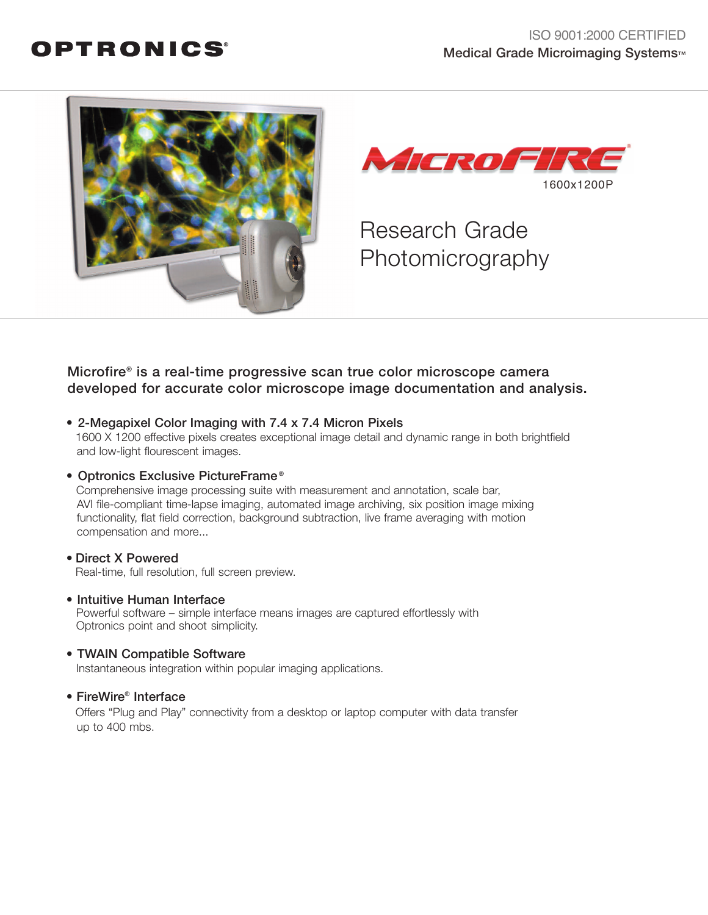### OPTRONICS®





# Research Grade Photomicrography

### Microfire® is a real-time progressive scan true color microscope camera developed for accurate color microscope image documentation and analysis.

• 2-Megapixel Color Imaging with 7.4 x 7.4 Micron Pixels 1600 X 1200 effective pixels creates exceptional image detail and dynamic range in both brightfield and low-light flourescent images.

#### • Optronics Exclusive PictureFrame ®

Comprehensive image processing suite with measurement and annotation, scale bar, AVI file-compliant time-lapse imaging, automated image archiving, six position image mixing functionality, flat field correction, background subtraction, live frame averaging with motion compensation and more...

#### • Direct X Powered Real-time, full resolution, full screen preview.

#### • Intuitive Human Interface

Powerful software – simple interface means images are captured effortlessly with Optronics point and shoot simplicity.

#### • TWAIN Compatible Software

Instantaneous integration within popular imaging applications.

#### • FireWire® Interface

Offers "Plug and Play" connectivity from a desktop or laptop computer with data transfer up to 400 mbs.